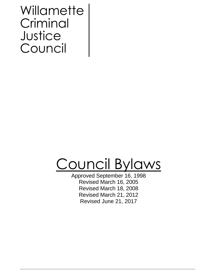# **Willamette** Criminal **Justice** Council

# Council Bylaws

Approved September 16, 1998 Revised March 16, 2005 Revised March 18, 2008 Revised March 21, 2012 Revised June 21, 2017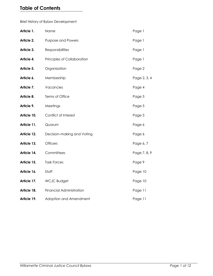# **Table of Contents**

Brief History of Bylaw Development

| Article 1.  | Name                            | Page 1       |
|-------------|---------------------------------|--------------|
| Article 2.  | <b>Purpose and Powers</b>       | Page 1       |
| Article 3.  | Responsibilities                | Page 1       |
| Article 4.  | Principles of Collaboration     | Page 1       |
| Article 5.  | Organization                    | Page 2       |
| Article 6.  | Membership                      | Page 2, 3, 4 |
| Article 7.  | Vacancies                       | Page 4       |
| Article 8.  | Terms of Office                 | Page 5       |
| Article 9.  | Meetings                        | Page 5       |
| Article 10. | Conflict of Interest            | Page 5       |
| Article 11. | Quorum                          | Page 6       |
| Article 12. | Decision-making and Voting      | Page 6       |
| Article 13. | <b>Officers</b>                 | Page 6, 7    |
| Article 14. | Committees                      | Page 7, 8, 9 |
| Article 15. | <b>Task Forces</b>              | Page 9       |
| Article 16. | Staff                           | Page 10      |
| Article 17. | <b>WCJC Budget</b>              | Page 10      |
| Article 18. | <b>Financial Administration</b> | Page 11      |
| Article 19. | Adoption and Amendment          | Page 11      |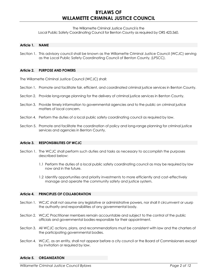## **BYLAWS OF WILLAMETTE CRIMINAL JUSTICE COUNCIL**

The Willamette Criminal Justice Council is the

Local Public Safety Coordinating Council for Benton County as required by ORS 423.560.

#### **Article 1. NAME**

Section 1. This advisory council shall be known as the Willamette Criminal Justice Council (WCJC) serving as the Local Public Safety Coordinating Council of Benton County, (LPSCC).

#### **Article 2. PURPOSE AND POWERS**

The Willamette Criminal Justice Council (WCJC) shall:

- Section 1. Promote and facilitate fair, efficient, and coordinated criminal justice services in Benton County.
- Section 2. Provide long-range planning for the delivery of criminal justice services in Benton County.
- Section 3. Provide timely information to governmental agencies and to the public on criminal justice matters of local concern.
- Section 4. Perform the duties of a local public safety coordinating council as required by law.
- Section 5. Promote and facilitate the coordination of policy and long-range planning for criminal justice services and agencies in Benton County.

#### **Article 3. RESPONSIBILITIES OF WCJC**

- Section 1. The WCJC shall perform such duties and tasks as necessary to accomplish the purposes described below:
	- 1.1 Perform the duties of a local public safety coordinating council as may be required by law now and in the future.
	- 1.2 Identify opportunities and priority investments to more efficiently and cost-effectively manage and operate the community safety and justice system.

#### **Article 4. PRINCIPLES OF COLLABORATION**

- Section 1. WCJC shall not assume any legislative or administrative powers, nor shall it circumvent or usurp the authority and responsibilities of any governmental body.
- Section 2. WCJC Practitioner members remain accountable and subject to the control of the public officials and governmental bodies responsible for their appointment.
- Section 3. All WCJC actions, plans, and recommendations must be consistent with law and the charters of the participating governmental bodies.
- Section 4. WCJC, as an entity, shall not appear before a city council or the Board of Commissioners except by invitation or required by law.

#### **Article 5. ORGANIZATION**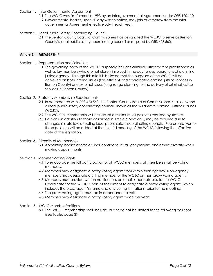- Section 1. Inter-Governmental Agreement
	- 1.1 The WCJC was first formed in 1993 by an Intergovernmental Agreement under ORS 190.110.
	- 1.2 Governmental bodies, upon 60 day written notice, may join or withdraw from the Intergovernmental Agreement effective July 1 each year.
- Section 2. Local Public Safety Coordinating Council
	- 2.1 The Benton County Board of Commissioners has designated the WCJC to serve as Benton County's local public safety coordinating council as required by ORS 423.560.

#### **Article 6. MEMBERSHIP**

- Section 1. Representation and Selection
	- 1.1 The governing body of the WCJC purposely includes criminal justice system practitioners as well as lay members who are not closely involved in the day-to-day operations of a criminal justice agency. Through this mix, it is believed that the purposes of the WCJC will be achieved on both internal issues (fair, efficient and coordinated criminal justice services in Benton County) and external issues (long-range planning for the delivery of criminal justice services in Benton County).
- Section 2. Statutory Membership Requirements
	- 2.1 In accordance with ORS 423.560, the Benton County Board of Commissioners shall convene a local public safety coordinating council, known as the Willamette Criminal Justice Council (WCJC).
	- 2.2 The WCJC's, membership will include, at a minimum, all positions required by statute.
	- 2.3 Positions, in addition to those described in Article 6, Section 5, may be required due to changes in state law affecting local public safety coordinating councils. Representatives for these positions will be added at the next full meeting of the WCJC following the effective date of the legislation.
- Section 3. Diversity of Membership
	- 3.1 Appointing bodies or officials shall consider cultural, geographic, and ethnic diversity when making appointments.
- Section 4. Member Voting Rights
	- 4.1 To encourage the full participation of all WCJC members, all members shall be voting members.
	- 4.2 Members may designate a proxy voting agent from within their agency. Non-agency members may designate a sitting member of the WCJC as their proxy voting agent.
	- 4.3 Members must provide written notification, an email is acceptable, to the WCJC Coordinator or the WCJC Chair, of their intent to designate a proxy voting agent (which includes the proxy agent's name and any voting limitations) prior to the meeting.
	- 4.4 The proxy voting agent must be in attendance to vote.
	- 4.5 Members may designate a proxy voting agent twice per year.
- Section 5. WCJC Member Positions
	- 5.1 The WCJC membership shall include, but need not be limited to the following positions (see table, page 3):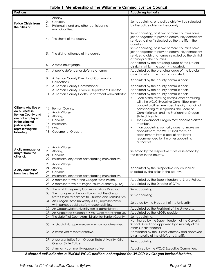| <b>Positions</b>                                                                                                                       |    |                                                                                                                            | <b>Appointing Authority</b>                                                                                                                                                                                                                                                                                                             |
|----------------------------------------------------------------------------------------------------------------------------------------|----|----------------------------------------------------------------------------------------------------------------------------|-----------------------------------------------------------------------------------------------------------------------------------------------------------------------------------------------------------------------------------------------------------------------------------------------------------------------------------------|
|                                                                                                                                        | Ι. | Albany,                                                                                                                    |                                                                                                                                                                                                                                                                                                                                         |
|                                                                                                                                        | 2. | Corvallis,                                                                                                                 | Self-appointing, or a police chief will be selected                                                                                                                                                                                                                                                                                     |
| <b>Police Chiefs from</b><br>the cities of:                                                                                            | 3. | Philomath, and any other participating<br>municipalities.                                                                  | by the police chiefs in the county.                                                                                                                                                                                                                                                                                                     |
|                                                                                                                                        | 4. | The sheriff of the county.                                                                                                 | Self-appointing, or, if two or more counties have<br>joined together to provide community corrections<br>services, a sheriff selected by the sheriffs in the<br>counties.                                                                                                                                                               |
|                                                                                                                                        | 5. | The district attorney of the county.                                                                                       | Self-appointing, or, if two or more counties have<br>joined together to provide community corrections<br>services, a district attorney selected by the district<br>attorneys of the counties.                                                                                                                                           |
|                                                                                                                                        |    | 6. A state court judge.                                                                                                    | Appointed by the presiding judge of the judicial<br>district in which the county is located.                                                                                                                                                                                                                                            |
|                                                                                                                                        | 7. | A public defender or defense attorney.                                                                                     | Appointed by the presiding judge of the judicial<br>district in which the county is located.                                                                                                                                                                                                                                            |
|                                                                                                                                        | 8. | A Benton County Director of Community<br>Corrections.                                                                      | Appointed by the county commissioners.                                                                                                                                                                                                                                                                                                  |
|                                                                                                                                        |    | 9. A Benton County Commissioner.                                                                                           | Appointed by the county commissioners.                                                                                                                                                                                                                                                                                                  |
|                                                                                                                                        |    | 10. A Benton County Juvenile Department Director.                                                                          | Appointed by the county commissioners.                                                                                                                                                                                                                                                                                                  |
| Citizens who live or                                                                                                                   |    | 11. A Benton County Health Department Administrator.<br>12. Benton County,                                                 | Appointed by the county commissioners.<br>Each of the following entities, after consulting<br>٠<br>with the WCJC Executive Committee, may<br>appoint a citizen member: the city councils of<br>participating municipalities, the Board of                                                                                               |
| do business in<br><b>Benton County and</b><br>are not employed<br>in the criminal<br>justice system,<br>representing the<br>following: |    | 13. Adair Village,<br>14. Albany,<br>15. Corvallis,<br>16. Philomath,<br>17. OSU,<br>18. Governor of Oregon.               | Commissioners, and the President of Oregon<br>State University.<br>The Governor of Oregon may appoint a citizen<br>$\blacksquare$<br>member.<br>If an appointing authority does not make an<br>٠<br>appointment, the WCJC shall make an<br>appointment from a pool of applicants<br>recommended by the other appointing<br>authorities. |
| A city manager or<br>mayor from the<br>cities of:                                                                                      |    | 19. Adair Village,<br>20. Albany,<br>21. Corvallis,<br>22. Philomath, any other participating municipality.                | Selected by the respective cities or selected by<br>the cities in the county.                                                                                                                                                                                                                                                           |
| A city councilor<br>from the cities of:                                                                                                |    | 23. Adair Village,<br>24. Albany,<br>25. Corvallis,<br>26. Philomath, any other participating municipality.                | Appointed by their respective city council or<br>selected by the cities in the county.                                                                                                                                                                                                                                                  |
|                                                                                                                                        |    | 27. A representative of the Oregon State Police.                                                                           | Appointed by the Superintendent of State Police.                                                                                                                                                                                                                                                                                        |
|                                                                                                                                        |    | 28. A representative of Oregon Youth Authority (OYA).                                                                      | Appointed by the Director of OYA.                                                                                                                                                                                                                                                                                                       |
|                                                                                                                                        |    | 29. The 9-1-1 Emergency Communications Director.                                                                           | Self-appointing.                                                                                                                                                                                                                                                                                                                        |
|                                                                                                                                        |    | 30. The manager of the local branch of the Oregon<br>State Office for Services to Children and Families (SCF).             | Self-appointing.                                                                                                                                                                                                                                                                                                                        |
|                                                                                                                                        |    | 31. An Oregon State University (OSU) representative<br>with campus public safety responsibilities.                         | Selected by the President of the University.                                                                                                                                                                                                                                                                                            |
|                                                                                                                                        |    | 32. An Oregon State University senior administrator.                                                                       | Appointed by the President of the University.                                                                                                                                                                                                                                                                                           |
|                                                                                                                                        |    | 33. An Associated Students of OSU (Asosu) representative.                                                                  | Appointed by the ASOSU president.                                                                                                                                                                                                                                                                                                       |
|                                                                                                                                        |    | 34. The state Trial Court Administrator for Benton County.<br>35. A school district superintendent or school board member. | Self-appointing.<br>Nominated by the Superintendent of the Corvallis<br>School District and approved by a majority of the<br>other superintendents.                                                                                                                                                                                     |
|                                                                                                                                        |    | 36. A crime victim representative.                                                                                         | Nominated by the District Attorney and approved<br>by a majority of the chiefs and Sheriff.                                                                                                                                                                                                                                             |
|                                                                                                                                        |    | 37. A representative from Oregon State University (OSU)<br>Oregon State Police.                                            | Self-appointing.                                                                                                                                                                                                                                                                                                                        |
|                                                                                                                                        |    | 38. A minority community representative.                                                                                   | Appointed by the WCJC Executive Committee.                                                                                                                                                                                                                                                                                              |

### **Table 1: Membership of the Willamette Criminal Justice Council**

*A shaded cell indicates a UNIQUE WCJC position, not required for LPSCC's by Oregon Revised Statutes.*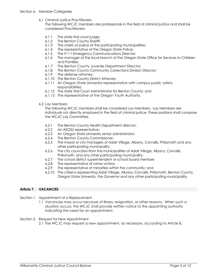6.1 Criminal Justice Practitioners

The following WCJC members are professionals in the field of criminal justice and shall be considered Practitioners:

- 6.1.1 The state trial court judge;
- 6.1.2 The Benton County Sheriff;
- 6.1.3 The chiefs of police of the participating municipalities;
- 6.1.4 The representative of the Oregon State Police;
- 6.1.5 The 9-1-1 Emergency Communications Director;
- 6.1.6 The manager of the local branch of the Oregon State Office for Services to Children and Families;
- 6.1.7 The Benton County Juvenile Department Director;
- 6.1.8 The Benton County Community Corrections Division Director;
- 6.1.9 The defense attorney;
- 6.1.10 The Benton County District Attorney;
- 6.1.11 An Oregon State University representative with campus public safety responsibilities;
- 6.1.12 The state Trial Court Administrator for Benton County; and
- 6.1.13 The representative of the Oregon Youth Authority.
- 6.2 Lay Members

The following WCJC members shall be considered Lay Members. Lay Members are individuals not directly employed in the field of criminal justice. These positions shall compose the WCJC Lay Committee.

- 6.2.1 The Benton County Health Department director;
- 6.2.2 An ASOSU representative;
- 6.2.3 An Oregon State University senior administrator;
- 6.2.4 The Benton County Commissioner;
- 6.2.5 The mayor or city managers of Adair Village, Albany, Corvallis, Philomath and any other participating municipality;
- 6.2.6 The city councilors from the municipalities of Adair Village, Albany, Corvallis, Philomath, and any other participating municipality;
- 6.2.7 The school district superintendent or school board member;
- 6.2.8 The representative of crime victims;
- 6.2.9 The representative of minorities within the community; and
- 6.2.10 The citizens representing Adair Village, Albany, Corvallis, Philomath, Benton County, Oregon State University, the Governor and any other participating municipality.

#### **Article 7. VACANCIES**

- Section 1. Appointment of a Replacement
	- 1.1 Vacancies may occur because of illness, resignation, or other reasons. When such a situation occurs, the WCJC shall provide written notice to the appointing authority indicating the need for an appointment.
- Section 2. Request for New Appointment 2.1 The WCJC may request a new appointment, as necessary, according to Article 8.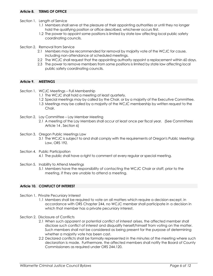- Section 1. Length of Service
	- 1.1 Members shall serve at the pleasure of their appointing authorities or until they no longer hold the qualifying position or office described, whichever occurs first.
	- 1.2 The power to appoint some positions is limited by state law affecting local public safety coordinating councils.
- Section 2. Removal from Service
	- 2.1 Members may be recommended for removal by majority vote of the WCJC for cause, including non-attendance at scheduled meetings.
	- 2.2 The WCJC shall request that the appointing authority appoint a replacement within 60 days.
	- 2.3 The power to remove members from some positions is limited by state law affecting local public safety coordinating councils.

#### **Article 9. MEETINGS**

- Section 1. WCJC Meetings Full Membership
	- 1.1 The WCJC shall hold a meeting at least quarterly.
	- 1.2 Special meetings may by called by the Chair, or by a majority of the Executive Committee.
	- 1.3 Meetings may be called by a majority of the WCJC membership by written request to the Chair.
- Section 2. Lay Committee Lay Member Meeting
	- 2.1 A meeting of the Lay Members shall occur at least once per fiscal year. (See Committees Article 14 , Section 6)
- Section 3. Oregon Public Meetings Law
	- 3.1 The WCJC is subject to and shall comply with the requirements of Oregon's Public Meetings Law, ORS 192.
- Section 4. Public Participation
	- 4.1 The public shall have a right to comment at every regular or special meeting.
- Section 5. Inability to Attend Meetings
	- 5.1 Members have the responsibility of contacting the WCJC Chair or staff, prior to the meeting, if they are unable to attend a meeting.

#### **Article 10. CONFLICT OF INTEREST**

- Section 1. Private Pecuniary Interest
	- 1.1 Members shall be required to vote on all matters which require a decision except, in accordance with ORS Chapter 244, no WCJC member shall participate in a decision in which that member has a private pecuniary interest.
- Section 2. Disclosure of Conflicts
	- 2.1 When such apparent or potential conflict of interest arises, the affected member shall disclose such conflict of interest and disqualify herself/himself from voting on the matter. Such members shall not be considered as being present for the purpose of determining whether a majority vote has been cast.
	- 2.2 Declared conflicts shall be formally represented in the minutes of the meeting where such declaration is made. Furthermore, the affected members shall notify the Board of County Commissioners as required under ORS 244.120.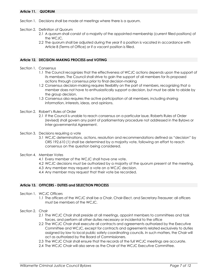#### **Article 11. QUORUM**

- Section 1. Decisions shall be made at meetings where there is a quorum.
- Section 2. Definition of Quorum
	- 2.1 A quorum shall consist of a majority of the appointed membership (current filled positions) of the WCJC.
	- 2.2 The quorum shall be adjusted during the year if a position is vacated in accordance with Article 8 (Terms of Office) or if a vacant position is filled.

#### **Article 12. DECISION-MAKING PROCESS and VOTING**

- Section 1. Consensus
	- 1.1 The Council recognizes that the effectiveness of WCJC actions depends upon the support of its members. The Council shall strive to gain the support of all members for its proposed actions through consensus prior to final decision-making
	- 1.2 Consensus decision-making requires flexibility on the part of members, recognizing that a member does not have to enthusiastically support a decision, but must be able to abide by the group decision.
	- 1.3 Consensus also requires the active participation of all members, including sharing information, interests, ideas, and opinions.
- Section 2. Robert's Rules of Order
	- 2.1 If the Council is unable to reach consensus on a particular issue, Roberts Rules of Order (revised) shall govern any point of parliamentary procedure not addressed in the Bylaws or Inter-governmental Agreement.
- Section 3. Decisions requiring a vote
	- 3.1 WCJC determinations, actions, resolution and recommendations defined as "decision" by ORS 192.610 (1) shall be determined by a majority vote, following an effort to reach consensus on the question being considered.
- Section 4. Member Votes
	- 4.1 Every member of the WCJC shall have one vote.
	- 4.2 WCJC decisions must be authorized by a majority of the quorum present at the meeting.
	- 4.3 Any member may request a vote on a WCJC decision.
	- 4.4 Any member may request that their vote be recorded.

#### **Article 13. OFFICERS - DUTIES and SELECTION PROCESS**

- Section 1. WCJC Officers
	- 1.1 The officers of the WCJC shall be a Chair, Chair-Elect, and Secretary-Treasurer; all officers must be members of the WCJC.
- Section 2. Chair
	- 2.1 The WCJC Chair shall preside at all meetings, appoint members to committees and task forces, and perform all other duties necessary or incidental to the office
	- 2.2 The WCJC Chair shall execute all contracts and agreements authorized by the Executive Committee and WCJC, except for contracts and agreements related exclusively to duties assigned by law to local public safety coordinating councils. In such matters, the Chair will act as authorized by the Board of Commissioners.
	- 2.3 The WCJC Chair shall ensure that the records of the full WCJC meetings are accurate.
	- 2.4 The WCJC Chair will also serve as the Chair of the WCJC Executive Committee.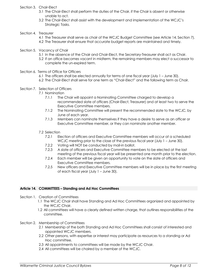#### Section 3. Chair-Elect

- 3.1 The Chair-Elect shall perform the duties of the Chair, if the Chair is absent or otherwise unable to act.
- 3.2 The Chair-Elect shall assist with the development and implementation of the WCJC's Strategic Tasks.

#### Section 4. Treasurer

- 4.1 The Treasurer shall serve as chair of the WCJC Budget Committee (see Article 14, Section 7).
- 4.2 The Treasurer shall ensure that accurate budget reports are maintained and timely.
- Section 5. Vacancy of Chair
	- 5.1 In the absence of the Chair and Chair-Elect, the Secretary-Treasurer shall act as Chair.
	- 5.2 If an office becomes vacant in midterm, the remaining members may elect a successor to complete the un-expired term.
- Section 6. Terms of Office for Officers
	- 6.1 The officers shall be elected annually for terms of one fiscal year (July 1 June 30).
	- 6.2 The Chair-Elect shall serve for one term as "Chair-Elect" and the following term as Chair.
- Section 7. Selection of Officers
	- 7.1 Nomination
		- 7.1.1 The Chair will appoint a Nominating Committee charged to develop a recommended slate of officers (Chair-Elect, Treasurer) and at least two to serve the Executive Committee members.
		- 7.1.2 The Nominating Committee will present the recommended slate to the WCJC, by June of each year.
		- 7.1.3 Members can nominate themselves if they have a desire to serve as an officer or Executive Committee member, or they can nominate another member.
	- 7.2 Selection
		- 7.2.1 Election of officers and Executive Committee members will occur at a scheduled WCJC meeting prior to the close of the previous fiscal year (July 1 – June 30).
		- 7.2.2 Voting will NOT be conducted by mail-in ballot.
		- 7.2.3 A slate of officers and Executive Committee members to be elected at the last meeting of the previous fiscal year will be presented one month prior to the election.
		- 7.2.4 Each member will be given an opportunity to vote on the slate of officers and Executive Committee members.
		- 7.2.5 New officers and Executive Committee members will be in place by the first meeting of each fiscal year (July 1 – June 30).

#### **Article 14. COMMITTEES – Standing and Ad Hoc Committees**

- Section 1. Creation of Committees
	- 1.1 The WCJC Chair shall have Standing and Ad Hoc Committees organized and appointed by the WCJC Chair.
	- 1.2 All committees will have a clearly defined written charge, that outlines responsibilities of the committee.
- Section 2. Membership of Committees
	- 2.1 Membership of the both Standing and Ad Hoc Committees shall consist of interested and appointed WCJC members.
	- 2.2 Other persons, with expertise or interest may participate as resources to a standing or Ad Hoc committee.
	- 2.3 All appointments to committees will be made by the WCJC Chair.
	- 2.4 All committees will be chaired by a member of the WCJC.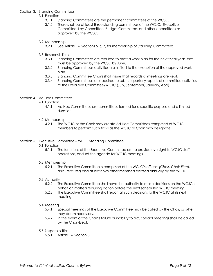#### Section 3. Standing Committees

- 3.1 Function
	- 3.1.1 Standing Committees are the permanent committees of the WCJC.
	- 3.1.2 There shall be at least three standing committees of the WCJC: Executive Committee, Lay Committee, Budget Committee, and other committees as approved by the WCJC.

#### 3.2 Membership

- 3.2.1 See Article 14, Sections 5, 6, 7, for membership of Standing Committees.
- 3.3 Responsibilities
	- 3.3.1 Standing Committees are required to draft a work plan for the next fiscal year, that must be approved by the WCJC by June.
	- 3.3.2 Standing Committees activities are limited to the execution of the approved work plan.
	- 3.3.3 Standing Committee Chairs shall insure that records of meetings are kept.
	- 3.3.4 Standing Committees are required to submit quarterly reports of committee activities to the Executive Committee/WCJC (July, September, January, April).

#### Section 4. Ad Hoc Committees

- 4.1 Function
	- 4.1.1 Ad Hoc Committees are committees formed for a specific purpose and a limited duration.
- 4.2 Membership
	- 4.2.1 The WCJC or the Chair may create Ad Hoc Committees comprised of WCJC members to perform such tasks as the WCJC or Chair may designate.

#### Section 5. Executive Committee – WCJC Standing Committee

- 5.1 Function
	- 5.1.1 The functions of the Executive Committee are to provide oversight to WCJC staff operations, and set the agenda for WCJC meetings.

#### 5.2 Membership

5.2.1 The Executive Committee is comprised of the WCJC's officers *(Chair, Chair-Elect, and Treasurer*) and at least two other members elected annually by the WCJC.

#### 5.3 Authority

- 5.2.2 The Executive Committee shall have the authority to make decisions on the WCJC's behalf on matters requiring action before the next scheduled WCJC meeting.
- 5.2.3 The Executive Committee shall report all such decisions to the WCJC at its next meeting.

#### 5.4 Meeting

- 5.4.1 Special meetings of the Executive Committee may be called by the Chair, as s/he may deem necessary.
- 5.4.2 In the event of the Chair's failure or inability to act, special meetings shall be called by the Chair-Elect.

#### 5.5 Responsibilities

5.5.1 Article 14, Section 3.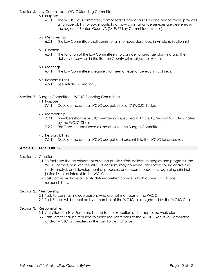#### Section 6. Lay Committee – WCJC Standing Committee

- 6.1 Purpose
	- 6.1.1 The WCJC Lay Committee, composed of individuals of diverse perspectives, provides a "unique ability to look impartially at how criminal justice services are delivered in the region of Benton County", (3/19/97 Lay Committee minutes).

#### 6.2 Membership

6.2.1 The Lay Committee shall consist of all members described in Article 6, Section 6.1.

#### 6.3 Function

6.3.1 The function of the Lay Committee is to consider long-range planning and the delivery of services in the Benton County criminal justice system.

#### 6.4 Meetings

6.4.1 The Lay Committee is required to meet at least once each fiscal year.

#### 6.5 Responsibilities

6.5.1 See Article 14, Section 3.

#### Section 7. Budget Committee – WCJC Standing Committee

- 7.1 Purpose
	- 7.1.1 Develop the annual WCJC budget, Article 17 (WCJC Budget).

#### 7.2 Membership

- 7.2.1 Members shall be WCJC members as specified in Article 15, Section 2 as designated by the WCJC Chair.
- 7.2.2 The Treasurer shall serve as the chair for the Budget Committee.

#### 7.3 Responsibilities

7.3.1 Develop the annual WCJC budget and present it to the WCJC for approval.

#### **Article 15. TASK FORCES**

- Section 1. Creation
	- 1.1 To facilitate the development of sound public safety policies, strategies and programs, the WCJC or the Chair with the WCJC's consent, may convene Task Forces to undertake the study, analysis and development of proposals and recommendations regarding criminal justice issues of interest to the WCJC.
	- 1.2 Task Forces will have a clearly defined written charge, which outlines Task Force responsibilities.

#### Section 2. Membership

- 2.1 Task Forces may include persons who are not members of the WCJC.
- 2.2 Task Forces will be chaired by a member of the WCJC, as designated by the WCJC Chair.
- Section 3. Responsibilities
	- 3.1 Activities of a Task Force are limited to the execution of the approved work plan.
	- 3.2 Task Forces shall be required to make regular reports to the WCJC Executive Committee and/or WCJC as specified in the Task Force's Charge.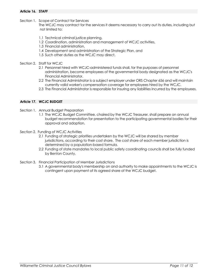#### **Article 16. STAFF**

Section 1. Scope of Contract for Services

The WCJC may contract for the services it deems necessary to carry out its duties, including but not limited to:

- 1.1 Technical criminal justice planning,
- 1.2 Coordination, administration and management of WCJC activities,
- 1.3 Financial administration,
- 1.4 Development and administration of the Strategic Plan, and
- 1.5 Such other duties as the WCJC may direct.
- Section 2. Staff for WCJC
	- 2.1 Personnel hired with WCJC-administered funds shall, for the purposes of personnel administration, become employees of the governmental body designated as the WCJC's Financial Administrator.
	- 2.2 The Financial Administrator is a subject employer under ORS Chapter 656 and will maintain currently valid worker's compensation coverage for employees hired by the WCJC.
	- 2.3 The Financial Administrator is responsible for insuring any liabilities incurred by the employees.

#### **Article 17. WCJC BUDGET**

- Section 1. Annual Budget Preparation
	- 1.1 The WCJC Budget Committee, chaired by the WCJC Treasurer, shall prepare an annual budget recommendation for presentation to the participating governmental bodies for their approval and adoption.
- Section 2. Funding of WCJC Activities
	- 2.1 Funding of strategic priorities undertaken by the WCJC will be shared by member jurisdictions, according to their cost share. The cost share of each member jurisdiction is determined by a population-based formula.
	- 2.2 Funding of state mandates to local public safety coordinating councils shall be fully funded by Benton County.
- Section 3. Financial Participation of Member Jurisdictions
	- 3.1 A governmental body's membership on and authority to make appointments to the WCJC is contingent upon payment of its agreed share of the WCJC budget.